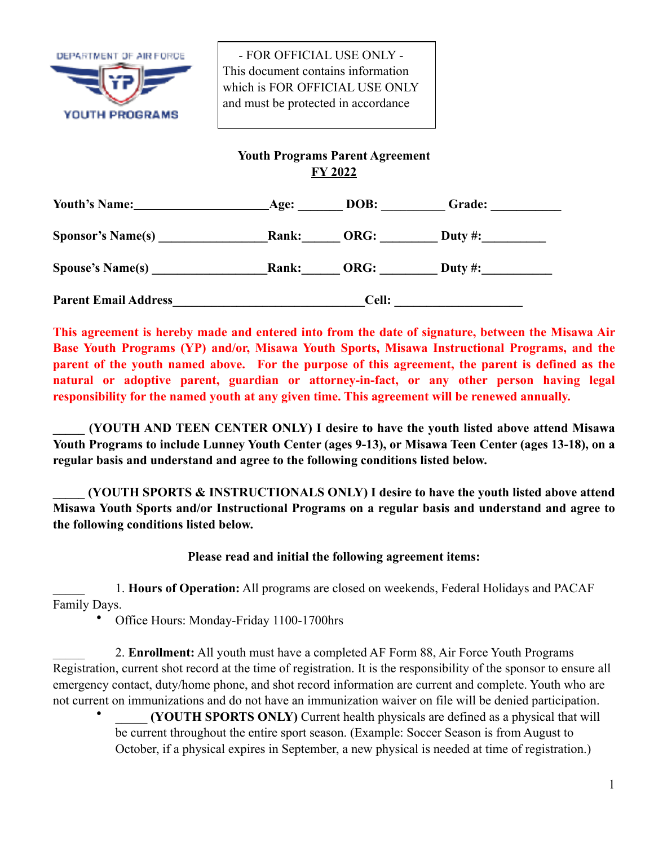

 - FOR OFFICIAL USE ONLY - This document contains information which is FOR OFFICIAL USE ONLY and must be protected in accordance

## **Youth Programs Parent Agreement FY 2022**

| <b>Youth's Name:</b>        | Age:         | DOB: | Grade:  |  |
|-----------------------------|--------------|------|---------|--|
| <b>Sponsor's Name(s)</b>    | Rank:        | ORG: | Duty #: |  |
| <b>Spouse's Name(s)</b>     | <b>Rank:</b> | ORG: | Duty #: |  |
| <b>Parent Email Address</b> | Cell:        |      |         |  |

**This agreement is hereby made and entered into from the date of signature, between the Misawa Air Base Youth Programs (YP) and/or, Misawa Youth Sports, Misawa Instructional Programs, and the parent of the youth named above. For the purpose of this agreement, the parent is defined as the natural or adoptive parent, guardian or attorney-in-fact, or any other person having legal responsibility for the named youth at any given time. This agreement will be renewed annually.**

**\_\_\_\_\_ (YOUTH AND TEEN CENTER ONLY) I desire to have the youth listed above attend Misawa Youth Programs to include Lunney Youth Center (ages 9-13), or Misawa Teen Center (ages 13-18), on a regular basis and understand and agree to the following conditions listed below.**

**\_\_\_\_\_ (YOUTH SPORTS & INSTRUCTIONALS ONLY) I desire to have the youth listed above attend Misawa Youth Sports and/or Instructional Programs on a regular basis and understand and agree to the following conditions listed below.**

## **Please read and initial the following agreement items:**

\_\_\_\_\_ 1. **Hours of Operation:** All programs are closed on weekends, Federal Holidays and PACAF Family Days.

• Office Hours: Monday-Friday 1100-1700hrs

\_\_\_\_\_ 2. **Enrollment:** All youth must have a completed AF Form 88, Air Force Youth Programs Registration, current shot record at the time of registration. It is the responsibility of the sponsor to ensure all emergency contact, duty/home phone, and shot record information are current and complete. Youth who are not current on immunizations and do not have an immunization waiver on file will be denied participation.

(YOUTH SPORTS ONLY) Current health physicals are defined as a physical that will be current throughout the entire sport season. (Example: Soccer Season is from August to October, if a physical expires in September, a new physical is needed at time of registration.)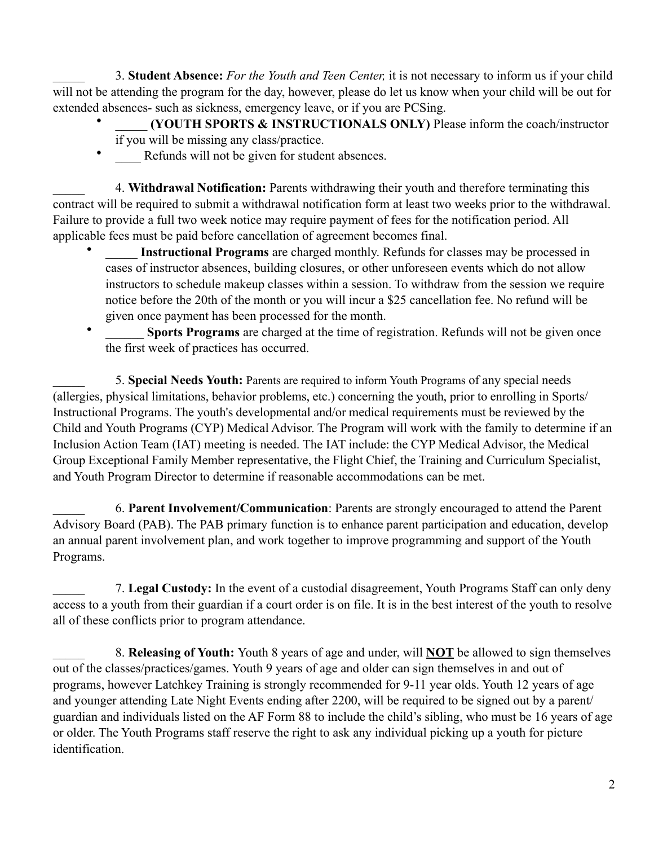\_\_\_\_\_ 3. **Student Absence:** *For the Youth and Teen Center,* it is not necessary to inform us if your child will not be attending the program for the day, however, please do let us know when your child will be out for extended absences- such as sickness, emergency leave, or if you are PCSing.

- \_\_\_\_\_ **(YOUTH SPORTS & INSTRUCTIONALS ONLY)** Please inform the coach/instructor if you will be missing any class/practice.
- Refunds will not be given for student absences.

\_\_\_\_\_ 4. **Withdrawal Notification:** Parents withdrawing their youth and therefore terminating this contract will be required to submit a withdrawal notification form at least two weeks prior to the withdrawal. Failure to provide a full two week notice may require payment of fees for the notification period. All applicable fees must be paid before cancellation of agreement becomes final.

- Instructional Programs are charged monthly. Refunds for classes may be processed in cases of instructor absences, building closures, or other unforeseen events which do not allow instructors to schedule makeup classes within a session. To withdraw from the session we require notice before the 20th of the month or you will incur a \$25 cancellation fee. No refund will be given once payment has been processed for the month.
- **Sports Programs** are charged at the time of registration. Refunds will not be given once the first week of practices has occurred.

5. **Special Needs Youth:** Parents are required to inform Youth Programs of any special needs (allergies, physical limitations, behavior problems, etc.) concerning the youth, prior to enrolling in Sports/ Instructional Programs. The youth's developmental and/or medical requirements must be reviewed by the Child and Youth Programs (CYP) Medical Advisor. The Program will work with the family to determine if an Inclusion Action Team (IAT) meeting is needed. The IAT include: the CYP Medical Advisor, the Medical Group Exceptional Family Member representative, the Flight Chief, the Training and Curriculum Specialist, and Youth Program Director to determine if reasonable accommodations can be met.

\_\_\_\_\_ 6. **Parent Involvement/Communication**: Parents are strongly encouraged to attend the Parent Advisory Board (PAB). The PAB primary function is to enhance parent participation and education, develop an annual parent involvement plan, and work together to improve programming and support of the Youth Programs.

\_\_\_\_\_ 7. **Legal Custody:** In the event of a custodial disagreement, Youth Programs Staff can only deny access to a youth from their guardian if a court order is on file. It is in the best interest of the youth to resolve all of these conflicts prior to program attendance.

\_\_\_\_\_ 8. **Releasing of Youth:** Youth 8 years of age and under, will **NOT** be allowed to sign themselves out of the classes/practices/games. Youth 9 years of age and older can sign themselves in and out of programs, however Latchkey Training is strongly recommended for 9-11 year olds. Youth 12 years of age and younger attending Late Night Events ending after 2200, will be required to be signed out by a parent/ guardian and individuals listed on the AF Form 88 to include the child's sibling, who must be 16 years of age or older. The Youth Programs staff reserve the right to ask any individual picking up a youth for picture identification.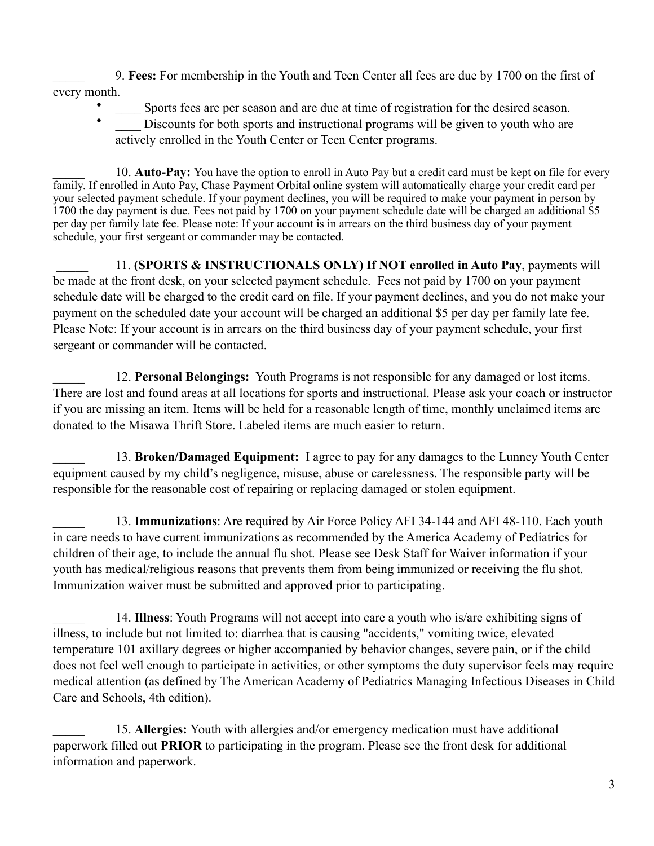\_\_\_\_\_ 9. **Fees:** For membership in the Youth and Teen Center all fees are due by 1700 on the first of every month.

- Sports fees are per season and are due at time of registration for the desired season.
- Discounts for both sports and instructional programs will be given to youth who are actively enrolled in the Youth Center or Teen Center programs.

\_\_\_\_\_ 10. **Auto-Pay:** You have the option to enroll in Auto Pay but a credit card must be kept on file for every family. If enrolled in Auto Pay, Chase Payment Orbital online system will automatically charge your credit card per your selected payment schedule. If your payment declines, you will be required to make your payment in person by 1700 the day payment is due. Fees not paid by 1700 on your payment schedule date will be charged an additional \$5 per day per family late fee. Please note: If your account is in arrears on the third business day of your payment schedule, your first sergeant or commander may be contacted.

 \_\_\_\_\_ 11. **(SPORTS & INSTRUCTIONALS ONLY) If NOT enrolled in Auto Pay**, payments will be made at the front desk, on your selected payment schedule. Fees not paid by 1700 on your payment schedule date will be charged to the credit card on file. If your payment declines, and you do not make your payment on the scheduled date your account will be charged an additional \$5 per day per family late fee. Please Note: If your account is in arrears on the third business day of your payment schedule, your first sergeant or commander will be contacted.

\_\_\_\_\_ 12. **Personal Belongings:** Youth Programs is not responsible for any damaged or lost items. There are lost and found areas at all locations for sports and instructional. Please ask your coach or instructor if you are missing an item. Items will be held for a reasonable length of time, monthly unclaimed items are donated to the Misawa Thrift Store. Labeled items are much easier to return.

\_\_\_\_\_ 13. **Broken/Damaged Equipment:** I agree to pay for any damages to the Lunney Youth Center equipment caused by my child's negligence, misuse, abuse or carelessness. The responsible party will be responsible for the reasonable cost of repairing or replacing damaged or stolen equipment.

\_\_\_\_\_ 13. **Immunizations**: Are required by Air Force Policy AFI 34-144 and AFI 48-110. Each youth in care needs to have current immunizations as recommended by the America Academy of Pediatrics for children of their age, to include the annual flu shot. Please see Desk Staff for Waiver information if your youth has medical/religious reasons that prevents them from being immunized or receiving the flu shot. Immunization waiver must be submitted and approved prior to participating.

\_\_\_\_\_ 14. **Illness**: Youth Programs will not accept into care a youth who is/are exhibiting signs of illness, to include but not limited to: diarrhea that is causing "accidents," vomiting twice, elevated temperature 101 axillary degrees or higher accompanied by behavior changes, severe pain, or if the child does not feel well enough to participate in activities, or other symptoms the duty supervisor feels may require medical attention (as defined by The American Academy of Pediatrics Managing Infectious Diseases in Child Care and Schools, 4th edition).

\_\_\_\_\_ 15. **Allergies:** Youth with allergies and/or emergency medication must have additional paperwork filled out **PRIOR** to participating in the program. Please see the front desk for additional information and paperwork.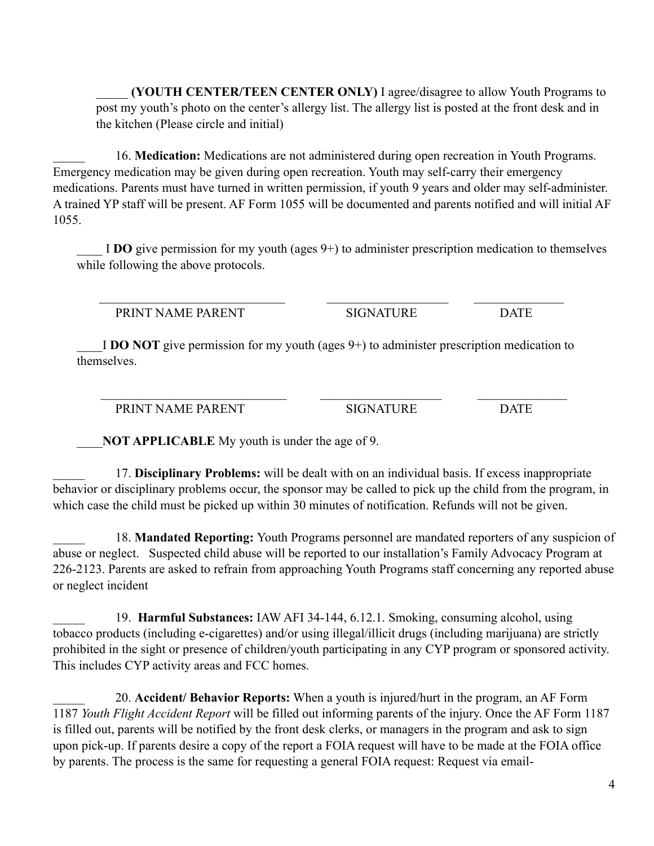\_\_\_\_\_ **(YOUTH CENTER/TEEN CENTER ONLY)** I agree/disagree to allow Youth Programs to post my youth's photo on the center's allergy list. The allergy list is posted at the front desk and in the kitchen (Please circle and initial)

\_\_\_\_\_ 16. **Medication:** Medications are not administered during open recreation in Youth Programs. Emergency medication may be given during open recreation. Youth may self-carry their emergency medications. Parents must have turned in written permission, if youth 9 years and older may self-administer. A trained YP staff will be present. AF Form 1055 will be documented and parents notified and will initial AF 1055.

\_\_\_\_ I **DO** give permission for my youth (ages 9+) to administer prescription medication to themselves while following the above protocols.

PRINT NAME PARENT SIGNATURE DATE

I **DO NOT** give permission for my youth (ages 9+) to administer prescription medication to themselves.

 $\mathcal{L}_\text{max} = \frac{1}{2} \sum_{i=1}^n \mathcal{L}_\text{max}(\mathbf{z}_i - \mathbf{z}_i)$ 

 $\mathcal{L}_\text{max} = \frac{1}{2} \sum_{i=1}^n \mathcal{L}_\text{max}(\mathbf{z}_i - \mathbf{z}_i)$ 

PRINT NAME PARENT SIGNATURE DATE

\_\_\_\_**NOT APPLICABLE** My youth is under the age of 9.

\_\_\_\_\_ 17. **Disciplinary Problems:** will be dealt with on an individual basis. If excess inappropriate behavior or disciplinary problems occur, the sponsor may be called to pick up the child from the program, in which case the child must be picked up within 30 minutes of notification. Refunds will not be given.

\_\_\_\_\_ 18. **Mandated Reporting:** Youth Programs personnel are mandated reporters of any suspicion of abuse or neglect. Suspected child abuse will be reported to our installation's Family Advocacy Program at 226-2123. Parents are asked to refrain from approaching Youth Programs staff concerning any reported abuse or neglect incident

\_\_\_\_\_ 19. **Harmful Substances:** IAW AFI 34-144, 6.12.1. Smoking, consuming alcohol, using tobacco products (including e-cigarettes) and/or using illegal/illicit drugs (including marijuana) are strictly prohibited in the sight or presence of children/youth participating in any CYP program or sponsored activity. This includes CYP activity areas and FCC homes.

\_\_\_\_\_ 20. **Accident/ Behavior Reports:** When a youth is injured/hurt in the program, an AF Form 1187 *Youth Flight Accident Report* will be filled out informing parents of the injury. Once the AF Form 1187 is filled out, parents will be notified by the front desk clerks, or managers in the program and ask to sign upon pick-up. If parents desire a copy of the report a FOIA request will have to be made at the FOIA office by parents. The process is the same for requesting a general FOIA request: Request via email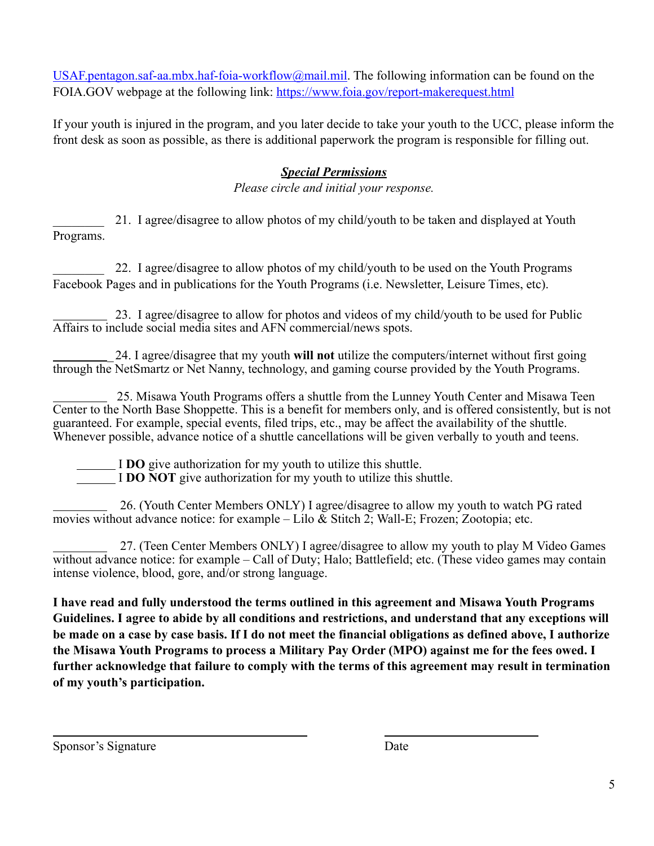[USAF.pentagon.saf-aa.mbx.haf-foia-workflow@mail.mil](mailto:USAF.pentagon.saf-aa.mbx.haf-foia-workflow@mail.mil). The following information can be found on the FOIA.GOV webpage at the following link: <https://www.foia.gov/report-makerequest.html>

If your youth is injured in the program, and you later decide to take your youth to the UCC, please inform the front desk as soon as possible, as there is additional paperwork the program is responsible for filling out.

## *Special Permissions*

*Please circle and initial your response.*

\_\_\_\_\_\_\_\_ 21. I agree/disagree to allow photos of my child/youth to be taken and displayed at Youth Programs.

22. I agree/disagree to allow photos of my child/youth to be used on the Youth Programs Facebook Pages and in publications for the Youth Programs (i.e. Newsletter, Leisure Times, etc).

 23. I agree/disagree to allow for photos and videos of my child/youth to be used for Public Affairs to include social media sites and AFN commercial/news spots.

 \_24. I agree/disagree that my youth **will not** utilize the computers/internet without first going through the NetSmartz or Net Nanny, technology, and gaming course provided by the Youth Programs.

 25. Misawa Youth Programs offers a shuttle from the Lunney Youth Center and Misawa Teen Center to the North Base Shoppette. This is a benefit for members only, and is offered consistently, but is not guaranteed. For example, special events, filed trips, etc., may be affect the availability of the shuttle. Whenever possible, advance notice of a shuttle cancellations will be given verbally to youth and teens.

I **DO** give authorization for my youth to utilize this shuttle.

I **DO NOT** give authorization for my youth to utilize this shuttle.

 26. (Youth Center Members ONLY) I agree/disagree to allow my youth to watch PG rated movies without advance notice: for example – Lilo & Stitch 2; Wall-E; Frozen; Zootopia; etc.

 27. (Teen Center Members ONLY) I agree/disagree to allow my youth to play M Video Games without advance notice: for example – Call of Duty; Halo; Battlefield; etc. (These video games may contain intense violence, blood, gore, and/or strong language.

**I have read and fully understood the terms outlined in this agreement and Misawa Youth Programs Guidelines. I agree to abide by all conditions and restrictions, and understand that any exceptions will be made on a case by case basis. If I do not meet the financial obligations as defined above, I authorize the Misawa Youth Programs to process a Military Pay Order (MPO) against me for the fees owed. I further acknowledge that failure to comply with the terms of this agreement may result in termination of my youth's participation.**

Sponsor's Signature Date